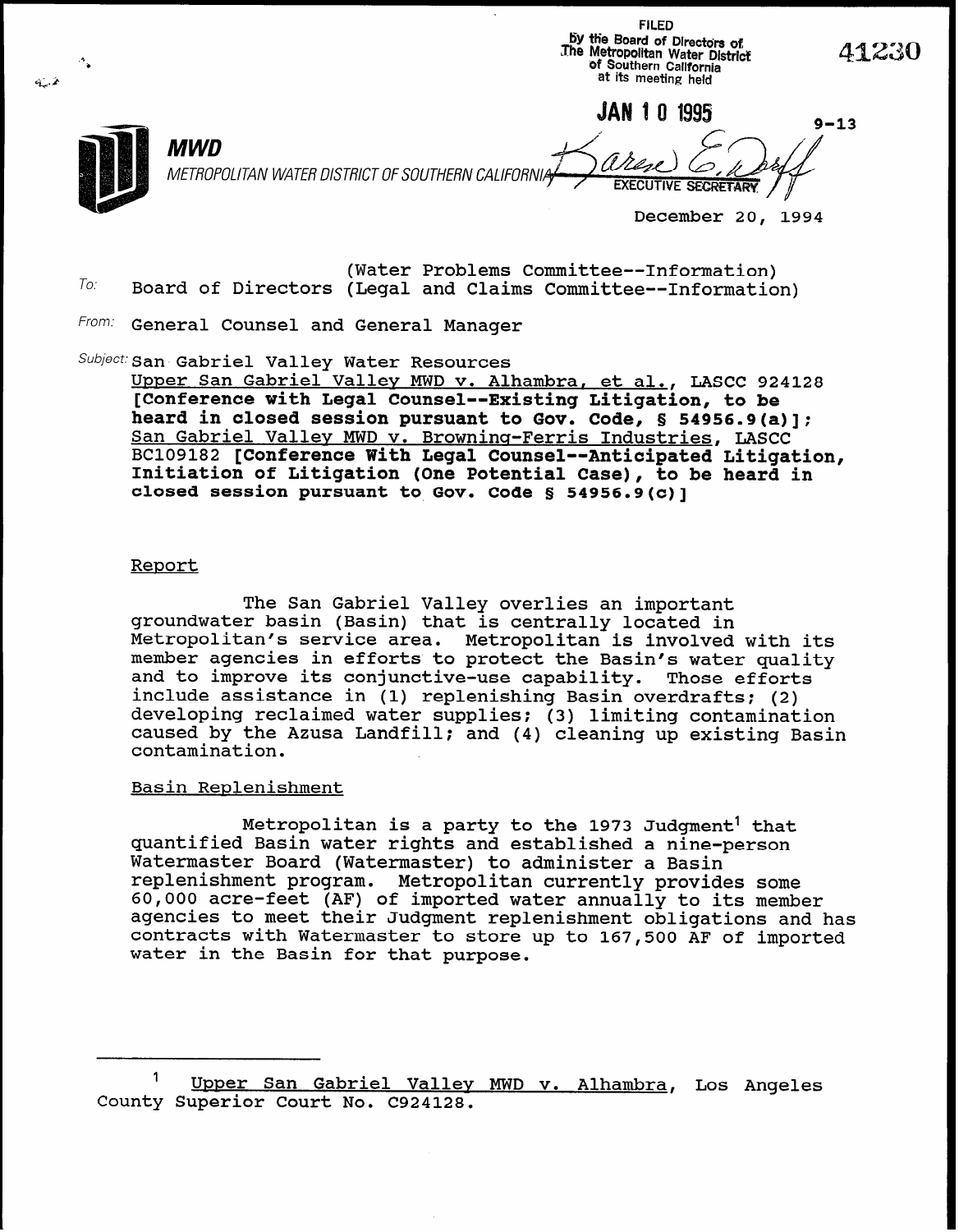by the Board of Directors of The Metropolitan Water District !1230 of Southern California c. 2 at its meeting held  $\lambda$ **JAN 1 0 1995**  $9 - 13$ MWD METROPOLITAN WATER DISTRICT OF SOUTHERN CALIFORN **EXECUTIVE SECRETARY** December 20, 1994

FILED

- $To^{\mathcal{L}}$ (Water Problems Committee--Information) Board of Directors (Legal and Claims Committee--Information)
- From: General Counsel and General Manager

Subject: San Gabriel Valley Water Resources

Upper San Gabriel Valley MWD v. Alhambra, et al., LASCC 924128 [Conference with Legal Counsel--Existing Litigation, to be heard in closed session pursuant to Gov. Code, § 54956.9(a)]; San Gabriel Valley MWD v. Browning-Ferris Industries, LASCC BC109182 [Conference With Legal Counsel--Anticipated Litigation, Initiation of Litigation (One Potential Case), to be heard in closed session pursuant to Gov. Code § 54956,9(c)]

## Report

The San Gabriel Valley overlies an important groundwater basin (Basin) that is centrally located in Metropolitan's service area. Metropolitan is involved with its member agencies in efforts to protect the Basin's water quality and to improve its conjunctive-use capability. Those efforts include assistance in (1) replenishing Basin overdrafts: (2) developing reclaimed water supplies: (3) limiting contamination caused by the Azusa Landfill: and (4) cleaning up existing Basin contamination.

# Basin Replenishment

Metropolitan is a party to the 1973 Judgment' that quantified Basin water rights and established a nine-person Watermaster Board (Watermaster) to administer a Basin replenishment program. Metropolitan currently provides some 60,000 acre-feet (AF) of imported water annually to its member agencies to meet their Judgment replenishment obligations and has contracts with Watermaster to store up to 167,500 AF of imported water in the Basin for that purpose.

<sup>&</sup>lt;sup>1</sup> Upper San Gabriel Valley MWD v. Alhambra, Los Angele County Superior Court No. C924128.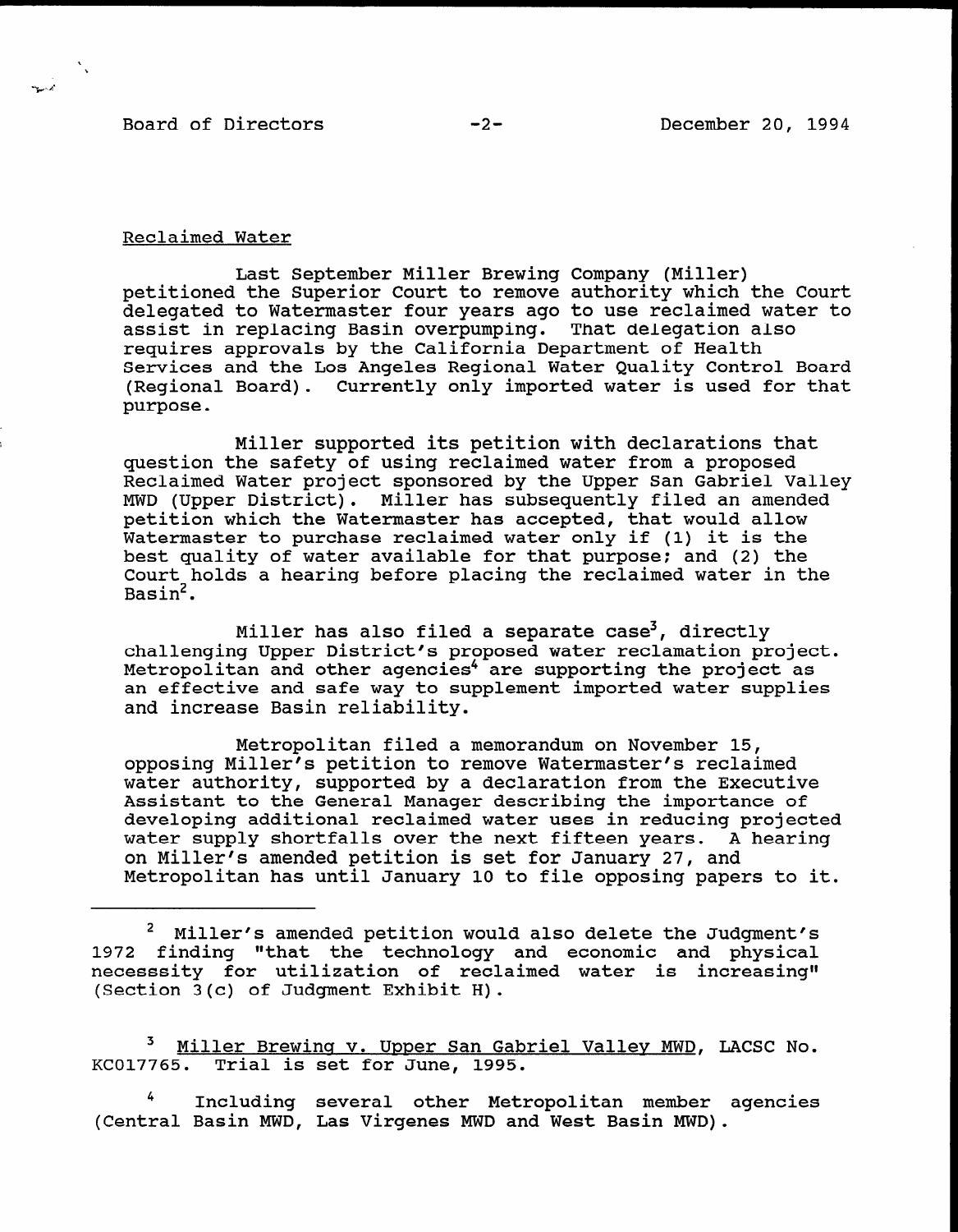Board of Directors -2-

,

### Reclaimed Water

Last September Miller Brewing Company (Miller) petitioned the Superior Court to remove authority which the Court delegated to Watermaster four years ago to use reclaimed water to assist in replacing Basin overpumping. That delegation also requires approvals by the California Department of Health Services and the Los Angeles Regional Water Quality Control Board (Regional Board). Currently only imported water is used for that purpose.

Miller supported its petition with declarations that question the safety of using reclaimed water from a proposed Reclaimed Water project sponsored by the Upper San Gabriel Valley MWD (Upper District). Miller has subsequently filed an amended petition which the Watermaster has accepted, that would allow Watermaster to purchase reclaimed water only if (1) it is the best quality of water available for that purpose: and (2) the Court holds a hearing before placing the reclaimed water in the Basin2.

Miller has also filed a separate case<sup>3</sup>, directly challenging Upper District's proposed water reclamation project. Metropolitan and other agencies<sup>4</sup> are supporting the project as metropolitan and other agencies are supporting the project as an errective and sale way<br>... increase Basin reliabi

Metropolitan filed a memorandum on November 15, metropolitan filed a memorandum on November 15, opposing Miller's petition to remove Watermaster's reclaimed water authority, supported by a declaration from the Executive Assistant to the General Manager describing the importance of developing additional reclaimed water uses in reducing projected water supply shortfalls over the next fifteen years. A hearing on Miller's amended petition is set for January 27, and<br>Metropolitan has until January 10 to file opposing papers to it.

2 Miller's amended petition would also delete the Judgment% f Miller's amended petition would also delete the Judgment 1972 finding "that the technology and economic and physical necesssity for utilization of reclaimed water is increasing"<br>(Section 3(c) of Judgment Exhibit H).

<sup>3</sup>Miller Brewina v. Upper San Gabriel Valley MWD, LACSC No. <sup>3</sup> Miller Brewing v. Upper San Gab

<sup>4</sup> Including several other Metropolitan member agencies (Central Basin MWD, Las Virgenes MWD and West Basin MWD).

 $\frac{1}{2}$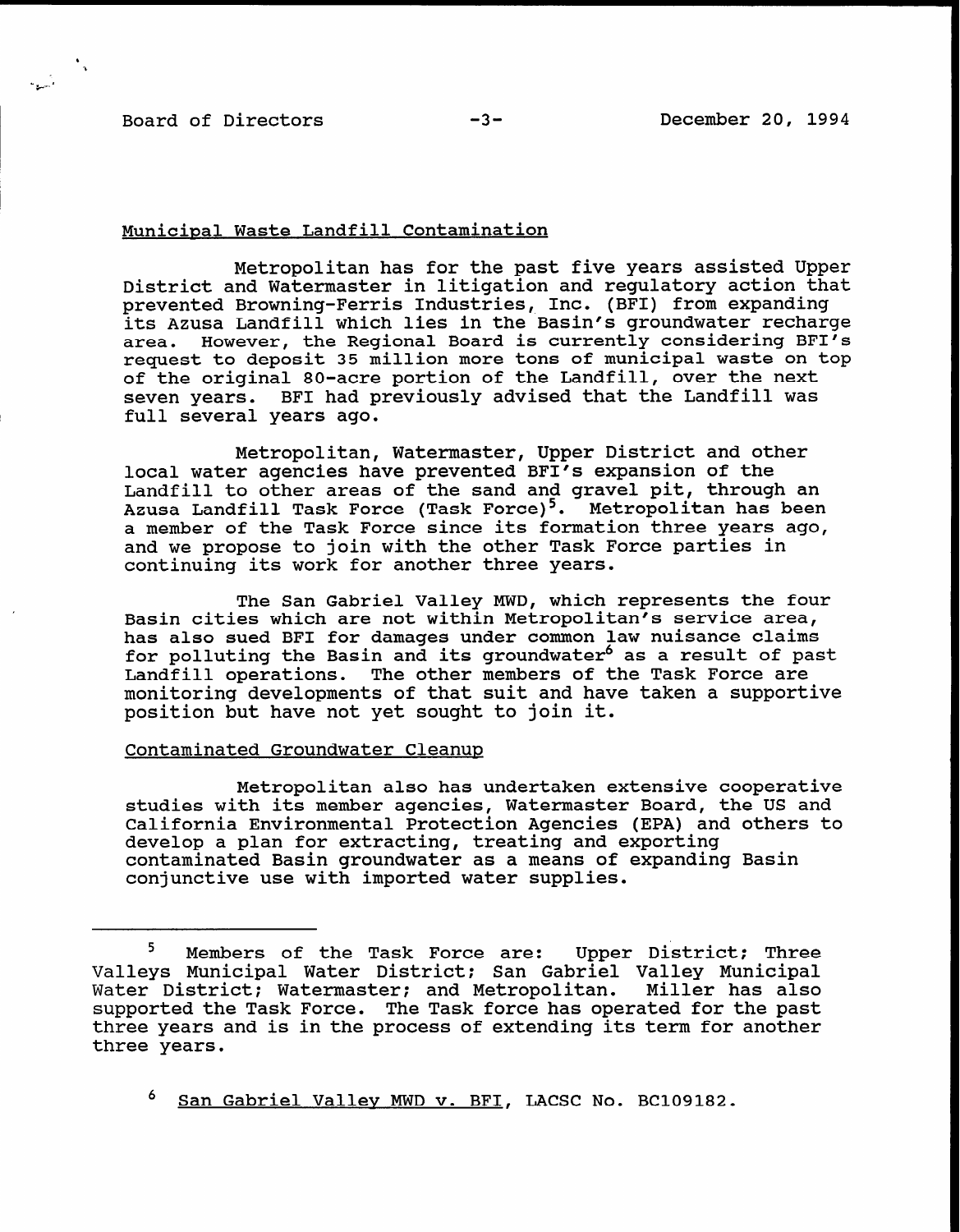# Board of Directors -3-<br>
-3-<br>
December 20, 1994

### Municipal Waste Landfill Contamination

Metropolitan has for the past five years assisted Upper District and Watermaster in litigation and regulatory action that prevented Browning-Ferris Industries, Inc. (BFI) from expanding its Azusa Landfill which lies in the Basin's groundwater recharge area. However, the Regional Board is currently considering BFI's request to deposit 35 million more tons of municipal waste on top of the original 80-acre portion of the Landfill, over the next seven years. BFI had previously advised that the Landfill was full several years ago.

Metropolitan, Watermaster, Upper District and other local water agencies have prevented BFI's expansion of the Landfill to other areas of the sand and gravel pit, through an Azusa Landfill Task Force (Task Force)<sup>5</sup>. Metropolitan has been a member of the Task Force since its formation three years ago, and we propose to join with the other Task Force parties in continuing its work for another three years.

The San Gabriel Valley MWD, which represents the four Basin cities which are not within Metropolitan's service area, has also sued BFI for damages under common law nuisance claims for polluting the Basin and its groundwater<sup>6</sup> as a result of past Landfill operations. The other members of the Task Force are monitoring developments of that suit and have taken a supportive position but have not yet sought to join it.

# Contaminated Groundwater Cleanup

Metropolitan also has undertaken extensive cooperative studies with its member agencies, Watermaster Board, the US and California Environmental Protection Agencies (EPA) and others to develop a plan for extracting, treating and exporting contaminated Basin groundwater as a means of expanding Basin conjunctive use with imported water supplies.

<sup>&</sup>lt;sup>5</sup> Members of the Task Force are: Upper District; Three Valleys Municipal Water District: San Gabriel Valley Municipal Water District: Watermaster; and Metropolitan. Miller has also supported the Task Force. The Task force has operated for the past three years and is in the process of extending its term for another three years.

San Gabriel Valley MWD v. BFI, LACSC No. BC109182.